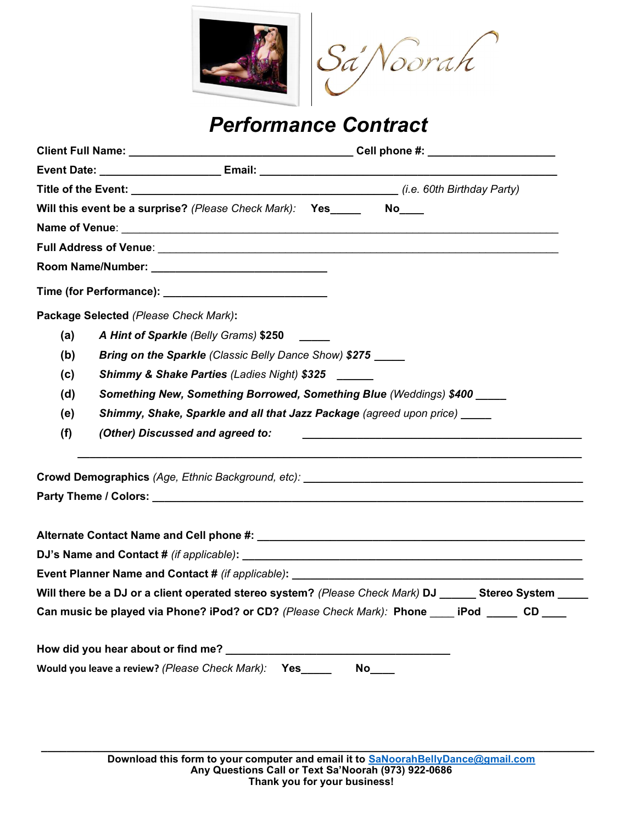

# Performance Contract

|                                                                                                                                     |  | Will this event be a surprise? (Please Check Mark): Yes No                                                                                                |  |  |  |
|-------------------------------------------------------------------------------------------------------------------------------------|--|-----------------------------------------------------------------------------------------------------------------------------------------------------------|--|--|--|
|                                                                                                                                     |  |                                                                                                                                                           |  |  |  |
|                                                                                                                                     |  |                                                                                                                                                           |  |  |  |
|                                                                                                                                     |  |                                                                                                                                                           |  |  |  |
|                                                                                                                                     |  |                                                                                                                                                           |  |  |  |
| Package Selected (Please Check Mark):                                                                                               |  |                                                                                                                                                           |  |  |  |
| (a)                                                                                                                                 |  | A Hint of Sparkle (Belly Grams) \$250                                                                                                                     |  |  |  |
| (b)                                                                                                                                 |  | Bring on the Sparkle (Classic Belly Dance Show) \$275                                                                                                     |  |  |  |
| (c)                                                                                                                                 |  | <b>Shimmy &amp; Shake Parties (Ladies Night) \$325</b>                                                                                                    |  |  |  |
| (d)                                                                                                                                 |  | Something New, Something Borrowed, Something Blue (Weddings) \$400                                                                                        |  |  |  |
| (e)                                                                                                                                 |  | Shimmy, Shake, Sparkle and all that Jazz Package (agreed upon price) _____                                                                                |  |  |  |
| (f)                                                                                                                                 |  | (Other) Discussed and agreed to:<br><u> 1989 - Johann Barn, margaret amerikan basar dan berasal dalam pengaran dalam pengaran dalam pengaran dalam pe</u> |  |  |  |
|                                                                                                                                     |  |                                                                                                                                                           |  |  |  |
|                                                                                                                                     |  |                                                                                                                                                           |  |  |  |
|                                                                                                                                     |  |                                                                                                                                                           |  |  |  |
|                                                                                                                                     |  |                                                                                                                                                           |  |  |  |
|                                                                                                                                     |  |                                                                                                                                                           |  |  |  |
| Event Planner Name and Contact # (if applicable): Name and South Article Contact Article Contact Article Contact # (if applicable): |  |                                                                                                                                                           |  |  |  |
| Will there be a DJ or a client operated stereo system? (Please Check Mark) DJ ______ Stereo System _____                            |  |                                                                                                                                                           |  |  |  |
| Can music be played via Phone? iPod? or CD? (Please Check Mark): Phone ____ iPod _____ CD ___                                       |  |                                                                                                                                                           |  |  |  |
|                                                                                                                                     |  | How did you hear about or find me?                                                                                                                        |  |  |  |
|                                                                                                                                     |  | Would you leave a review? (Please Check Mark): Yes<br><b>No</b>                                                                                           |  |  |  |
|                                                                                                                                     |  |                                                                                                                                                           |  |  |  |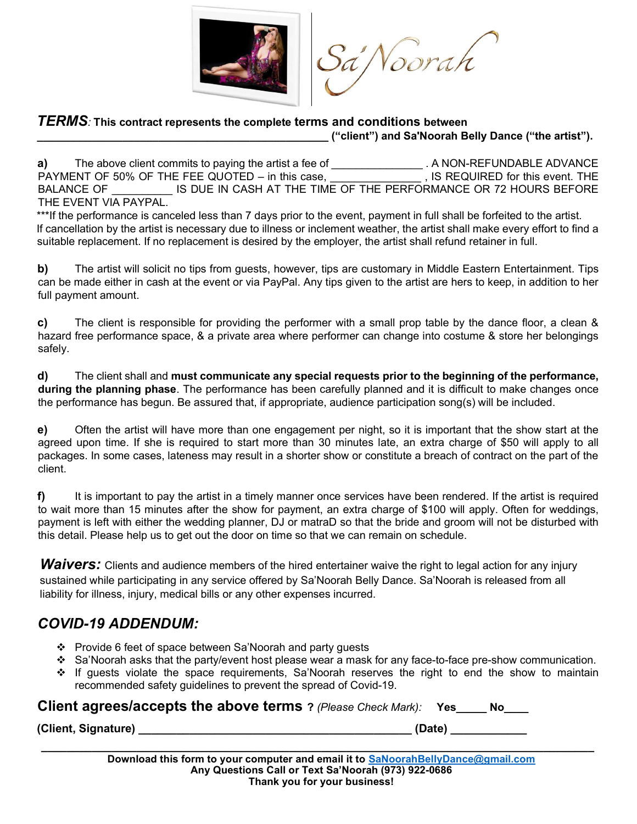

Sa'Noorah

#### TERMS: This contract represents the complete terms and conditions between

\_\_\_\_\_\_\_\_\_\_\_\_\_\_\_\_\_\_\_\_\_\_\_\_\_\_\_\_\_\_\_\_\_\_\_\_\_\_\_\_\_\_\_\_\_\_\_\_ ("client") and Sa'Noorah Belly Dance ("the artist").

a) The above client commits to paying the artist a fee of \_\_\_\_\_\_\_\_\_\_\_\_\_\_\_. A NON-REFUNDABLE ADVANCE PAYMENT OF 50% OF THE FEE QUOTED – in this case, PAYMENT OF 50% OF THE FEE QUOTED – in this case, BALANCE OF **IS DUE IN CASH AT THE TIME OF THE PERFORMANCE OR 72 HOURS BEFORE** THE EVENT VIA PAYPAL.

\*\*\*If the performance is canceled less than 7 days prior to the event, payment in full shall be forfeited to the artist. If cancellation by the artist is necessary due to illness or inclement weather, the artist shall make every effort to find a suitable replacement. If no replacement is desired by the employer, the artist shall refund retainer in full.

b) The artist will solicit no tips from guests, however, tips are customary in Middle Eastern Entertainment. Tips can be made either in cash at the event or via PayPal. Any tips given to the artist are hers to keep, in addition to her full payment amount.

c) The client is responsible for providing the performer with a small prop table by the dance floor, a clean & hazard free performance space, & a private area where performer can change into costume & store her belongings safely.

d) The client shall and must communicate any special requests prior to the beginning of the performance, during the planning phase. The performance has been carefully planned and it is difficult to make changes once the performance has begun. Be assured that, if appropriate, audience participation song(s) will be included.

e) Often the artist will have more than one engagement per night, so it is important that the show start at the agreed upon time. If she is required to start more than 30 minutes late, an extra charge of \$50 will apply to all packages. In some cases, lateness may result in a shorter show or constitute a breach of contract on the part of the client.

 $f$  It is important to pay the artist in a timely manner once services have been rendered. If the artist is required to wait more than 15 minutes after the show for payment, an extra charge of \$100 will apply. Often for weddings, payment is left with either the wedding planner, DJ or matraD so that the bride and groom will not be disturbed with this detail. Please help us to get out the door on time so that we can remain on schedule.

Waivers: Clients and audience members of the hired entertainer waive the right to legal action for any injury sustained while participating in any service offered by Sa'Noorah Belly Dance. Sa'Noorah is released from all liability for illness, injury, medical bills or any other expenses incurred.

## COVID-19 ADDENDUM:

- ❖ Provide 6 feet of space between Sa'Noorah and party guests
- $\div$  Sa'Noorah asks that the party/event host please wear a mask for any face-to-face pre-show communication.
- \* If quests violate the space requirements, Sa'Noorah reserves the right to end the show to maintain recommended safety guidelines to prevent the spread of Covid-19.

| Client agrees/accepts the above terms ? (Please Check Mark): Yes_ |        |  |
|-------------------------------------------------------------------|--------|--|
| (Client, Signature)                                               | (Date) |  |

 $\_$  , and the set of the set of the set of the set of the set of the set of the set of the set of the set of the set of the set of the set of the set of the set of the set of the set of the set of the set of the set of th Download this form to your computer and email it to SaNoorahBellyDance@gmail.com Any Questions Call or Text Sa'Noorah (973) 922-0686 Thank you for your business!